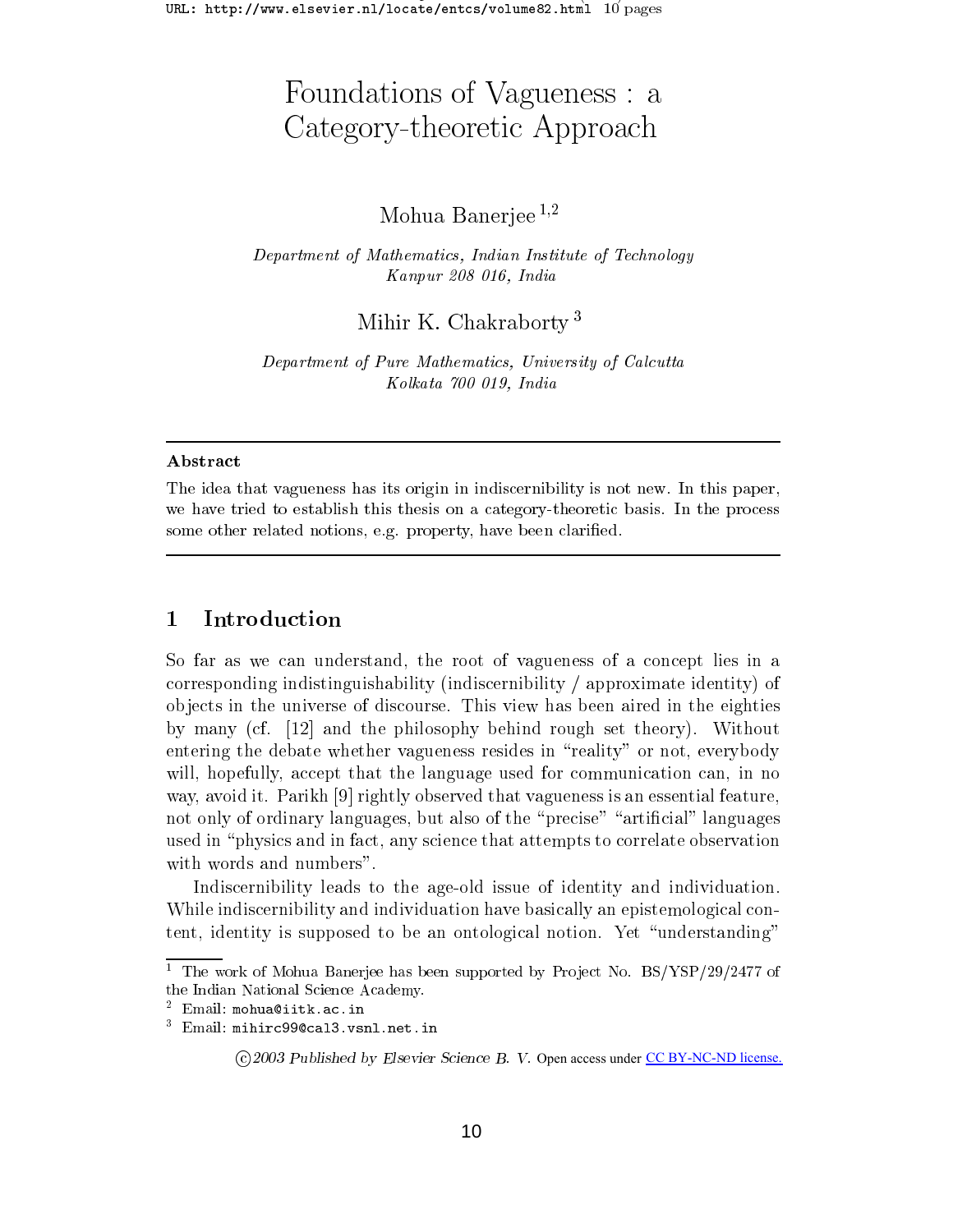# Foundations of Vagueness : a Category-theoretic Approach

# Mohua Baneriee  $1,2$

Department of Mathematics, Indian Institute of Technology Kanpur <sup>208</sup> 016, India

Mihir K. Chakraborty <sup>3</sup>

Department of Pure Mathematics, University of Calcutta Kolkata <sup>700</sup> 019, India

### Abstract

The idea that its original in the individual individual in the individual in the individual in the second of t we have the tried to establish this this theoretic basis of a category-theoretic basis. In the process where  $\mu$ some other related notions, e.g. property, have been claried.

# <sup>1</sup> Introduction

So far as we can understand, the root of vagueness of <sup>a</sup> concept lies in <sup>a</sup> corresponding indistinguishability (indiscernibility / approximate identity) of ob jects in the universe of discourse. This view has been aired in the eighties by many (cf. [12] and the philosophy behind rough set theory). Without entering the debate whether vagueness resides in \reality" or not, everybody will, hopefully, and the language used the language used of the language used for communication can in the lan way, avoid it. I alinii [9] rightly observed that vaguelless is all essential feature,  $\blacksquare$ not only of ordinary languages, but also of the \precise" \articial" languages used in the international in the international that attention that attention to correlate observation observation

Indiscernibility leads to the age-old issue of identity and individuation. While indiscernibility and individuation have basically an epistemological content, identity is supposed to be an ontological notion. Yet \understanding"

<sup>1</sup> The work of Mohua Banerjee has been supported by Pro ject No. BS/YSP/29/2477 of the Indian National Science Academy.

<sup>2</sup> Email: mohua@iitk.ac.in

<sup>3</sup> Email: mihirc99@cal3.vsnl.net.in

<sup>c</sup> <sup>2003</sup> Published by Elsevier Science B. V. Open access under CC [BY-NC-ND](http://creativecommons.org/licenses/by-nc-nd/3.0/) license.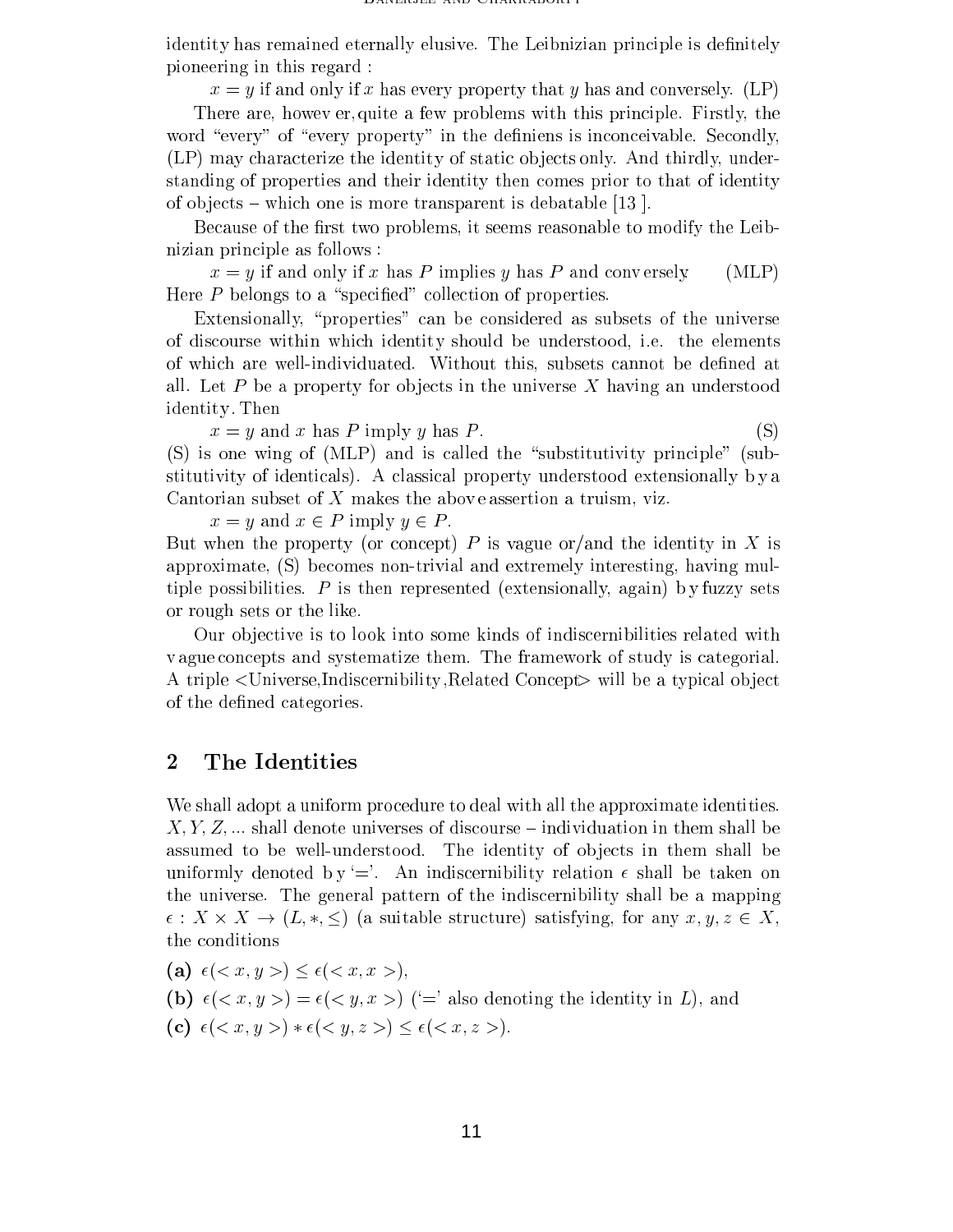identity has remained eternally elusive. The Leibnizian principle is definitely pioneering in this regard :

 $x = y$  if and only if x has every property that y has and conversely. (LP)

There are, howev er, quite a few problems with this principle. Firstly, the word "every" of "every property" in the definiens is inconceivable. Secondly, (LP) may characterize the identity of static ob jects only. And thirdly, understanding of properties and their identity then comes prior to that of identity of objects – which one is more transparent is debatable  $[13]$ .

Because of the first two problems, it seems reasonable to modify the Leibnizian principle as follows :

 $x = y$  if and only if x has P implies y has P and conversely. (MLP) Here  $P$  belongs to a "specified" collection of properties.

Extensionally, "properties" can be considered as subsets of the universe of discourse within which identity should be understood, i.e. the elements of which are well-individuated. Without this, subsets cannot be dened at all. Let P be a property for objects in the universe X having an understood identity . Then

 $x = y$  and x has P imply y has P. (S)

 $(S)$  is one wing of  $(MLP)$  and is called the "substitutivity principle" (substitutivity of identicals). A classical property understood extensionally b y a Cantorian subset of  $X$  makes the above assertion a truism, viz.

 $x = y$  and  $x \in P$  imply  $y \in P$ .

But when the property (or concept) P is vague or/and the identity in X is approximate, (S) becomes non-trivial and extremely interesting, having multiple possibilities.  $P$  is then represented (extensionally, again) by fuzzy sets or rough sets or the like.

Our ob jective is to look into some kinds of indiscernibilities related with v ague concepts and systematize them. The framework of study is categorial. A triple <Universe,Indiscernibility ,Related Concept> will be a typical object of the defined categories.

# <sup>2</sup> The Identities

We shall adopt a uniform procedure to deal with all the approximate identities.  $X, Y, Z, \ldots$  shall denote universes of discourse – individuation in them shall be assumed to be well-understood. The identity of objects in them shall be uniformly denoted by  $\equiv$ . An indiscernibility relation  $\epsilon$  shall be taken on the universe. The general pattern of the indiscernibility shall be a mapping : X - - X - - X - X, - X - X, Y - X, Y - X, Y - X, Y - Any x; Y - Any x 2 X, Y - X, Y - X, Y - X, Y - X, Y - X, the conditions

(a)  $\epsilon \, () \leq \epsilon \, ()$ , (b)  $\epsilon(*x*, *y*) = \epsilon(*y*, *x*)$  ( $=$ ' also denoting the identity in L), and (c)  $\epsilon(*x*, *y*) * \epsilon(*y*, *z*) \leq \epsilon(*x*, *z*)$ .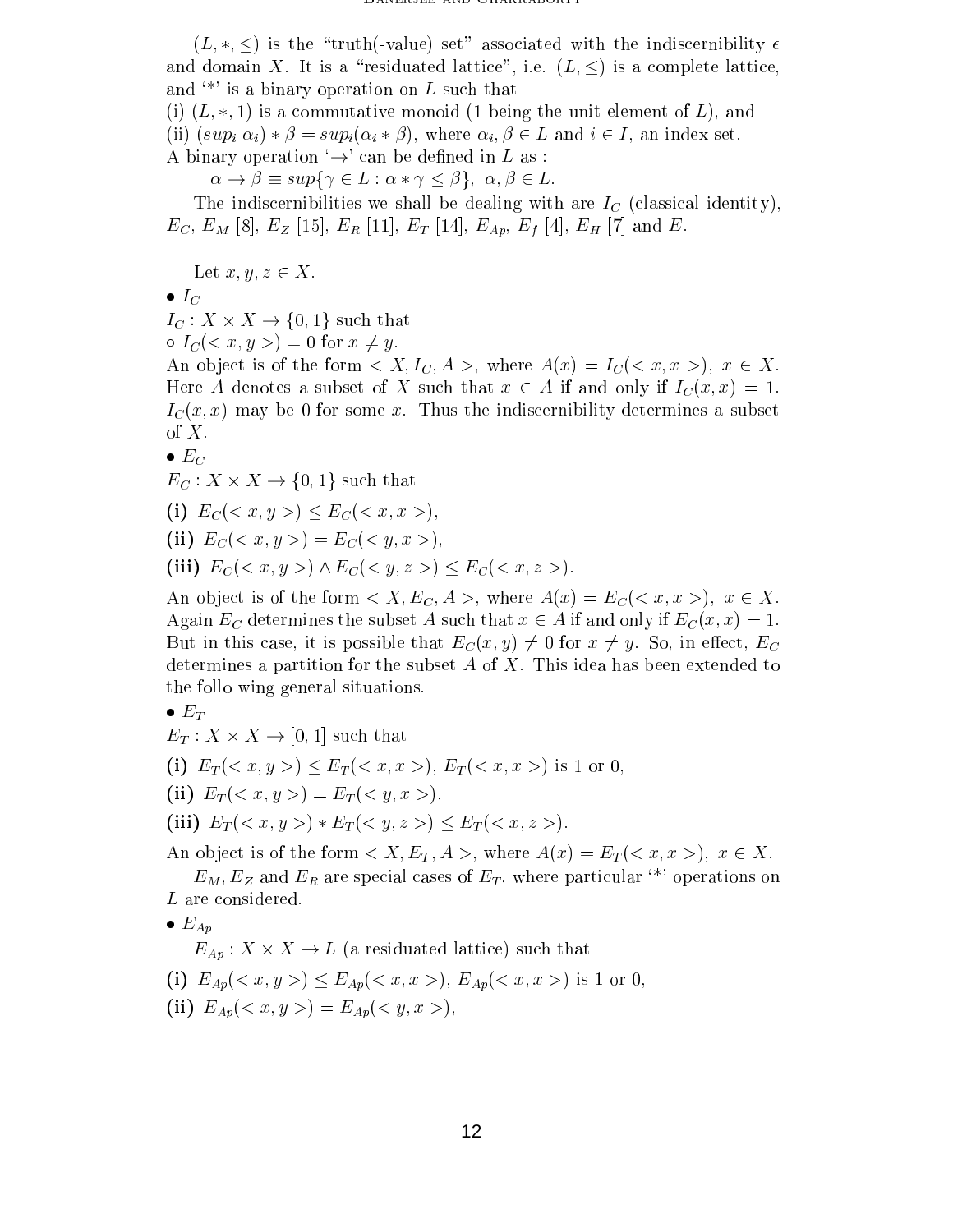(L) is the the set of values  $\left\{ -v\right\}$  as the individual with the individual with the individual  $\left\{ -v\right\}$ and domain X. It is a "residuated lattice", i.e.  $(L, \leq)$  is a complete lattice, and  $\cdot^*$  is a binary operation on L such that

(i) (i) (i) is a commutative monoid (1 being the unit element of L), and unit element of L), and  $\mathcal{L}$ (ii)  $(sup_i \alpha_i) * \beta = sup_i(\alpha_i * \beta)$ , where  $\alpha_i, \beta \in L$  and  $i \in I$ , an index set. A binary operation  $\rightarrow$  can be defined in L as :

!  supf 2 <sup>L</sup> : g; ;  2 L:

The indiscernibilities we shall be dealing with are  $I_C$  (classical identity),  $E_C, E_M$  [8],  $E_Z$  [15],  $E_R$  [11],  $E_T$  [14],  $E_{Ap}, E_f$  [4],  $E_H$  [7] and  $E$ .

 $\mathcal{L} \mathcal{L} \mathcal{L} \mathcal{L} \mathcal{L} \mathcal{L} \mathcal{L} \mathcal{L} \mathcal{L} \mathcal{L} \mathcal{L} \mathcal{L} \mathcal{L} \mathcal{L} \mathcal{L} \mathcal{L} \mathcal{L} \mathcal{L} \mathcal{L} \mathcal{L} \mathcal{L} \mathcal{L} \mathcal{L} \mathcal{L} \mathcal{L} \mathcal{L} \mathcal{L} \mathcal{L} \mathcal{L} \mathcal{L} \mathcal{L} \mathcal{L} \mathcal{L} \mathcal{L} \mathcal{L} \mathcal{L} \mathcal{$ 

$$
\bullet\;I_{C}
$$

IC : <sup>X</sup> - X ! f0; 1g such that

 $I_C$   $\langle x, y \rangle = 0$  for  $x \neq y$ .

An object is of the form  $\langle X, I_C, A \rangle$ , where  $A(x) = I_C(\langle x, x \rangle)$ ,  $x \in X$ .  $\mathcal{H} = \{ \mathcal{H} \mid \mathcal{H} \leq \mathcal{H} \}$  $I_{\mathcal{C}}(x,x)$  may be 0 for some x. Thus the indiscernibility determines a subset of  $X$ .

$$
\bullet \; E_C
$$

 $\mathbf{C}$  :  $\mathbf{C}$  ,  $\mathbf{C}$  ,  $\mathbf{C}$  ,  $\mathbf{C}$  ,  $\mathbf{C}$  ,  $\mathbf{C}$  ,  $\mathbf{C}$  ,  $\mathbf{C}$  ,  $\mathbf{C}$  ,  $\mathbf{C}$  ,  $\mathbf{C}$  ,  $\mathbf{C}$  ,  $\mathbf{C}$  ,  $\mathbf{C}$  ,  $\mathbf{C}$  ,  $\mathbf{C}$  ,  $\mathbf{C}$  ,  $\mathbf{C}$  ,  $\mathbf{C}$  ,

(i) 
$$
E_C
$$
  $(< x, y >)$   $\leq E_C$   $(< x, x >)$ ,

(ii) 
$$
E_C() = E_C()
$$
,

(iii)  $E_C$  (< x, y >)  $\wedge E_C$  (< y, z >) <  $E_C$  (< x, z >).

An object is of the form  $\langle X, E_C, A \rangle$ , where  $A(x) = E_C(\langle x, x \rangle), x \in X$ . Again  $E_C$  determines the subset A such that  $x \in A$  if and only if  $E_C(x, x)=1$ . But in this case, it is possible that  $E_C(x, y) \neq 0$  for  $x \neq y$ . So, in effect,  $E_C$ determines a partition for the subset  $A$  of  $X$ . This idea has been extended to the follo wing general situations.

$$
\bullet \; E_T
$$

 $\mathcal{L}$  :  $\mathcal{L}$  . If  $\mathcal{L}$  is the such that the such that  $\mathcal{L}$  is that the such that  $\mathcal{L}$ 

- (i)  $E_T() \le E_T()$ ,  $E_T()$  is 1 or 0,
- (ii)  $E_T$ (< x, y >) =  $E_T$ (< y, x >),
- (iii)  $E_T$ (< x, y >)  $E_T$ (< y, z >) <  $E_T$ (< x, z >).

An object is of the form  $\langle X, E_T, A \rangle$ , where  $A(x) = E_T(\langle x, x \rangle)$ ,  $x \in X$ .

 $E_M, E_Z$  and  $E_R$  are special cases of  $E_T$ , where particular <sup>\*\*</sup>' operations on  $L$  are considered.

$$
\bullet \; E_{Ap}
$$

 $\mathcal{L}$ 

- (i)  $E_{Ap}() \le E_{Ap}()$ ,  $E_{Ap}()$  is 1 or 0,
- (ii)  $E_{Ap}() = E_{Ap}()$ ,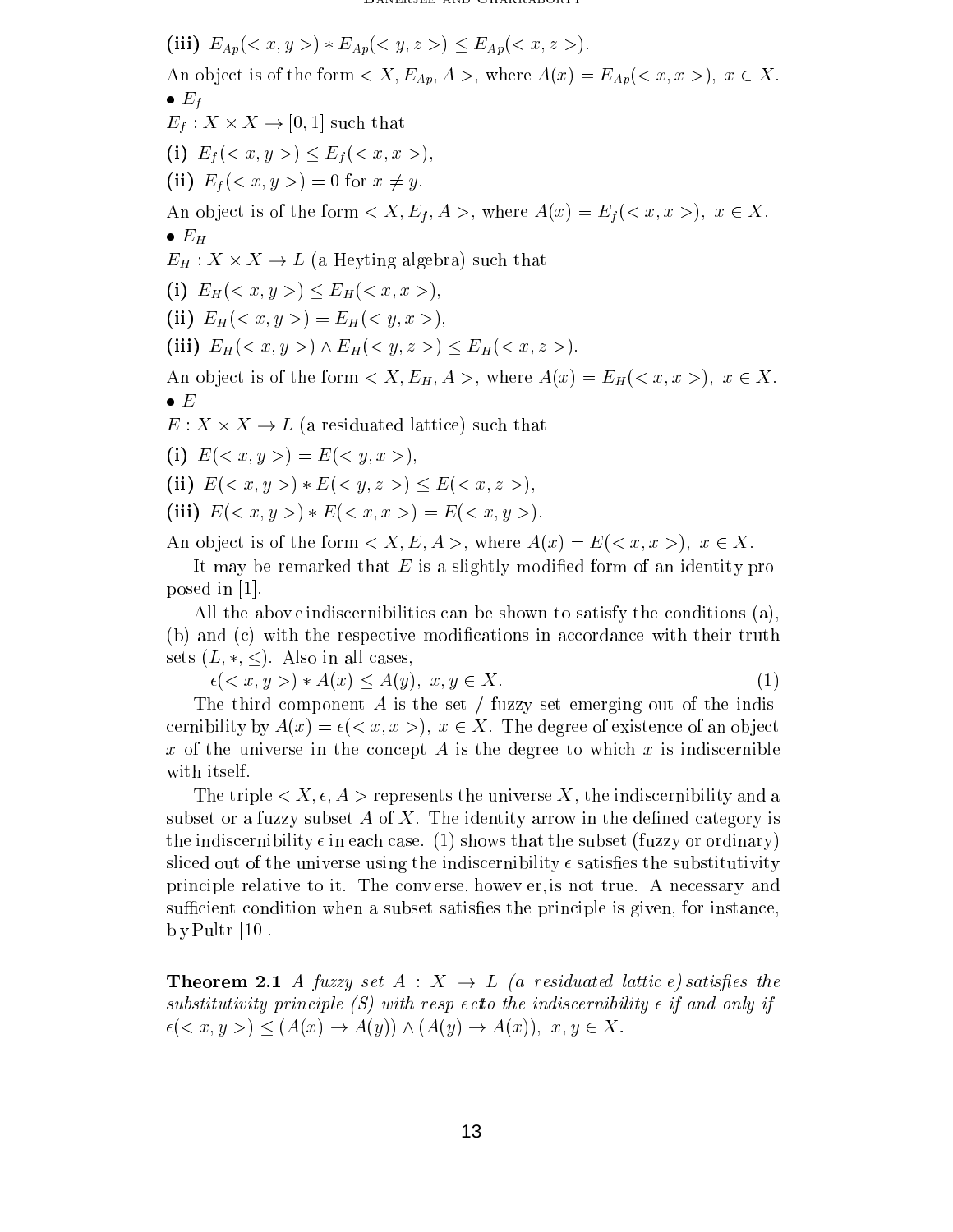(iii)  $E_{Ap}() * E_{Ap}() \leq E_{Ap}()$ An object is of the form  $\langle X, E_{Ap}, A \rangle$ , where  $A(x) = E_{Ap}(\langle x, x \rangle), x \in X$ .  $\bullet$   $E_f$  $\mathbf{E} = \mathbf{E} \mathbf{E} \mathbf{E} \mathbf{E} \mathbf{E} \mathbf{E} \mathbf{E} \mathbf{E} \mathbf{E} \mathbf{E} \mathbf{E} \mathbf{E} \mathbf{E} \mathbf{E} \mathbf{E} \mathbf{E} \mathbf{E} \mathbf{E} \mathbf{E} \mathbf{E} \mathbf{E} \mathbf{E} \mathbf{E} \mathbf{E} \mathbf{E} \mathbf{E} \mathbf{E} \mathbf{E} \mathbf{E} \mathbf{E} \mathbf{E} \mathbf{E} \mathbf{E} \mathbf{E} \mathbf{E} \mathbf$ (i)  $E_f$  (< x, y >)  $\leq E_f$  (< x, x >), (ii)  $E_f(*x*, *y*) = 0$  for  $x \neq y$ . An object is of the form  $\langle X, E_f, A \rangle$ , where  $A(x) = E_f(\langle x, x \rangle), x \in X$ .  $\bullet$   $E_H$  $\mathcal{L}_H$  : A Heyting algebra) such that  $\mathcal{L}_H$  is the such that the such that  $\mathcal{L}_H$ (i)  $E_H() \le E_H()$ , (ii)  $E_H() = E_H()$ , (iii)  $E_H() \wedge E_H() \leq E_H()$ . An object is of the form  $\langle X, E_H, A \rangle$ , where  $A(x) = E_H(\langle x, x \rangle), x \in X$ .  $\bullet$  E E : X - X ! L (a residuated lattice) such that (i)  $E\left\langle x, y \right\rangle = E\left\langle y, x \right\rangle$ , (ii)  $E\left\langle x, y \right\rangle * E\left\langle \left\langle y, z \right\rangle\right\rangle \le E\left\langle \left\langle x, z \right\rangle\right\rangle$ , (iii)  $E(*x*, *y*) * E(*x*, *x*) = E(*x*, *y*)$ .

An object is of the form  $\langle X, E, A \rangle$ , where  $A(x) = E(\langle x, x \rangle), x \in X$ .

It may be remarked that  $E$  is a slightly modified form of an identity proposed in [1].

All the abov eindiscernibilities can be shown to satisfy the conditions (a), (b) and (c) with the respective modications in accordance with their truth sets  $(L, *, \leq)$ . Also in all cases,

 $\epsilon(*x, y*) * A(*x*) \leq A(*y*), x, y \in X.$ (1)

The third component  $A$  is the set  $\ell$  fuzzy set emerging out of the indiscernibility by  $A(x) = \epsilon \, ()$ ,  $x \in X$ . The degree of existence of an object x of the universe in the concept A is the degree to which x is indiscernible with itself.

The triple  $\langle X, \epsilon, A \rangle$  represents the universe X, the indiscernibility and a subset or a fuzzy subset  $A$  of  $X$ . The identity arrow in the defined category is the indiscernibility  $\epsilon$  in each case. (1) shows that the subset (fuzzy or ordinary) sliced out of the universe using the indiscernibility  $\epsilon$  satisfies the substitutivity principle relative to it. The conv erse, howev er, is not true. A necessary and sufficient condition when a subset satisfies the principle is given, for instance,  $b$  y Pultr [10].

**Theorem 2.1** A fuzzy set  $A: X \rightarrow L$  (a residuated lattic e) satisfies the substitutivity principle  $(S)$  with resp ecto the indiscernibility  $\epsilon$  if and only if  $\epsilon(*x*, *y*) \leq (A(*x*) \rightarrow A(*y*)) \land (A(*y*) \rightarrow A(*x*)), x, y \in X.$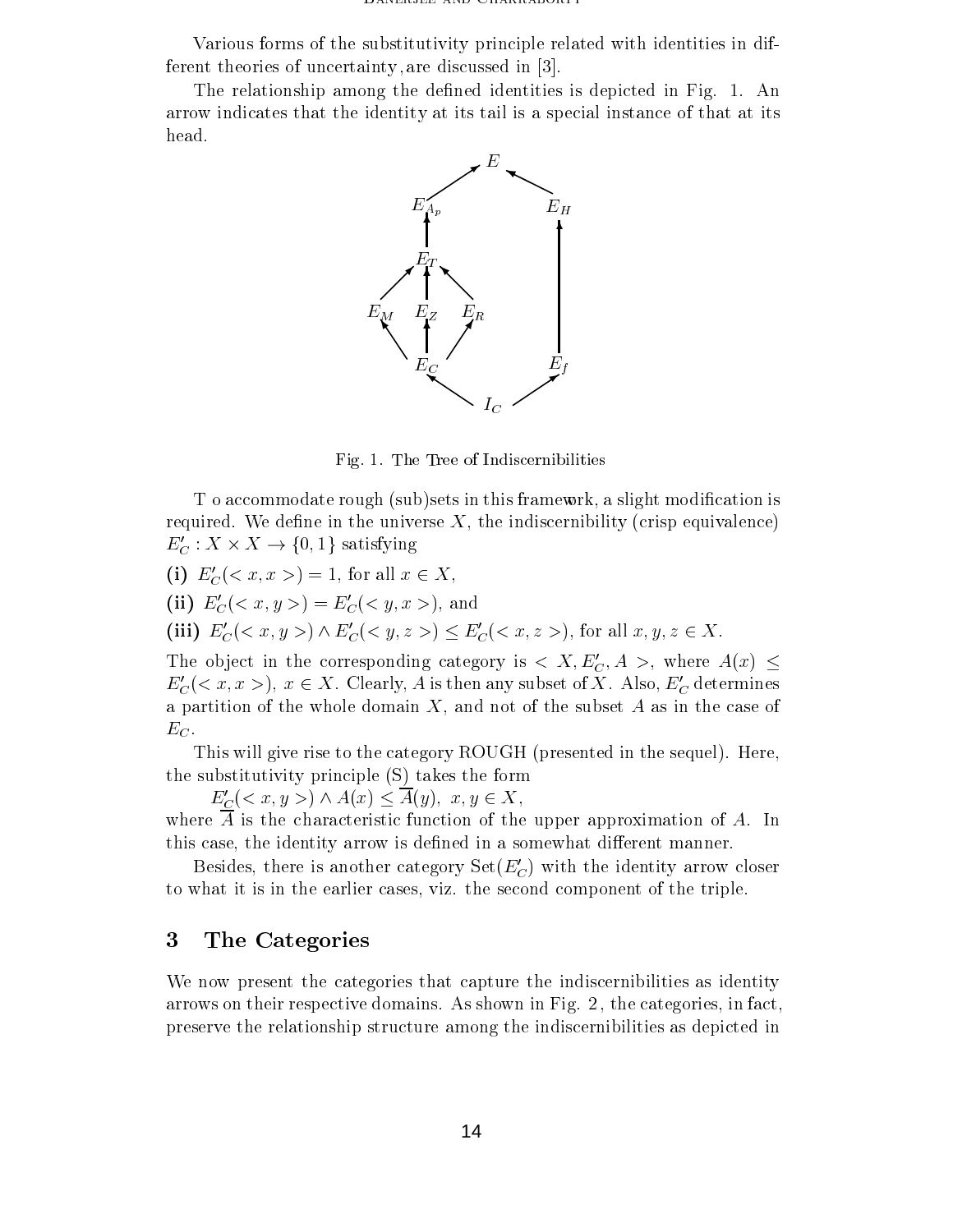Various forms of the substitutivity principle related with identities in different theories of uncertainty , are discussed in [3].

The relationship among the defined identities is depicted in Fig. 1. An arrow indicates that the identity at its tail is a special instance of that at its head.



Fig. 1. The Tree of Indiscernibilities

T o accommodate rough (sub)sets in this framework, a slight modication is required. We define in the universe  $X$ , the indiscernibility (crisp equivalence)  $L_C: \Lambda \times \Lambda \to \{0, 1\}$  satisfying

- (i)  $E_C'()=1$ , for all  $x \in X$ ,
- (ii)  $E_C'(*x*, *y*) = E_C'(*y*, *x*)$ , and
- (iii)  $E_C'() \wedge E_C'() \leq E_C'()$ , for all  $x, y, z \in X$ .

The object in the corresponding category is  $\langle X, E'_C, A \rangle$ , where  $A(x) \leq$  $E_C'(*x*, *x* >), *x*  $\in$  *X*. Clearly, *A* is then any subset of *X*. Also,  $E_C'$  determines$ a partition of the whole domain  $X$ , and not of the subset  $A$  as in the case of

 $E_C$ .<br>This will give rise to the category ROUGH (presented in the sequel). Here, the substitutivity principle (S) takes the form

 $E_C'(*x*, *y*) \wedge A(*x*) \leq \overline{A}(y), \ x, y \in X,$ where  $\overline{A}$  is the characteristic function of the upper approximation of A. In this case, the identity arrow is defined in a somewhat different manner.

Besides, there is another category  $Set(E_C')$  with the identity arrow closer to what it is in the earlier cases, viz. the second component of the triple.

#### 3The Categories

We now present the categories that capture the indiscernibilities as identity arrows on their respective domains. As shown in Fig. 2 , the categories, in fact, preserve the relationship structure among the indiscernibilities as depicted in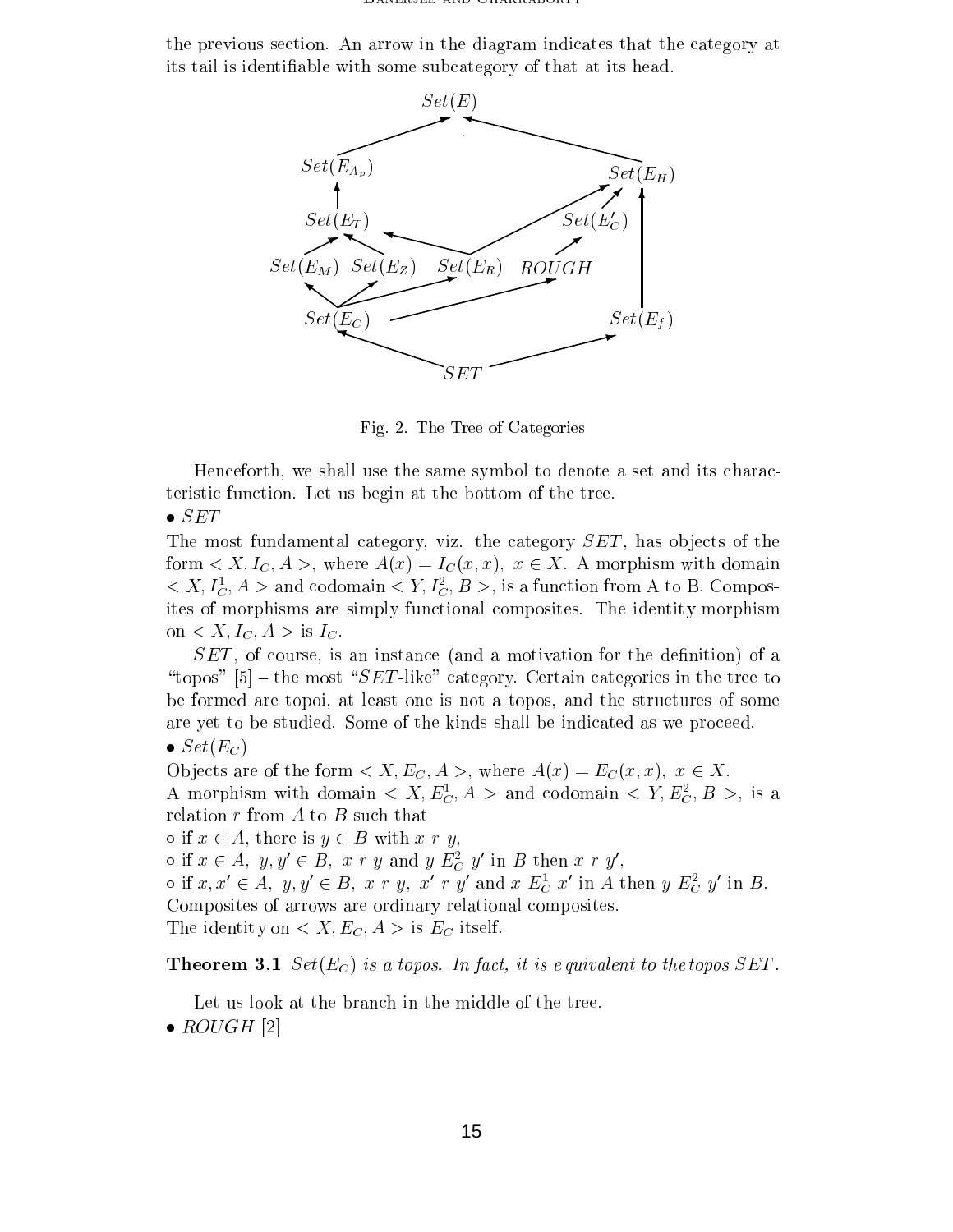the previous section. An arrow inthe diagram indicates that the category at its tail is identiable with some subcategory of that at its head.



Fig. 2. The Tree of Categories

Henceforth, we shall use the same symbol to denote a set and its characteristic function. Let us begin at the bottom of the tree.

# $\bullet$  SET

The most fundamental category, viz. the category  $SET$ , has objects of the form  $\langle X, I_C, A \rangle$ , where  $A(x) = I_C(x, x)$ ,  $x \in X$ . A morphism with domain  $\langle \langle A, I_C, A \rangle \rangle$  and codomain  $\langle Y, I_C, B \rangle$ , is a function from A to B. Composites of morphisms are simply functional composites. The identity morphism on  $\langle X, I_C, A \rangle$  is  $I_C$ .

 $SET$ , of course, is an instance (and a motivation for the definition) of a "topos"  $[5]$  – the most "SET-like" category. Certain categories in the tree to be formed are topoi, at least one is not a topos, and the structures of some are yet to be studied. Some of the kinds shall be indicated as we proceed.

 $\bullet$  Set(E<sub>C</sub>)

Objects are of the form  $\langle X, E_C, A \rangle$ , where  $A(x) = E_C(x, x)$ ,  $x \in X$ . A morphism with domain  $\langle A, E_C, A \rangle$  and codomain  $\langle I, E_C, D \rangle$ , is a relation  $r$  from  $A$  to  $B$  such that

 $\circ$  if  $x \in A$ , there is  $y \in B$  with x r y,

 $\circ$  in  $x \in A$ ,  $y, y \in B$ ,  $x \; r \; y$  and  $y \; E_C \; y$  in  $D$  then  $x \; r \; y$ ,

 $\circ$  if  $x, x \in A$ ,  $y, y \in B$ ,  $x \in y$ ,  $x \in y$  and  $x \in_{\overline{C}} x$  in A then  $y \in_{\overline{C}} y$  in B. Composites of arrows are ordinary relational composites. The identity on  $\langle X, E_C, A \rangle$  is  $E_C$  itself.

**Theorem 3.1** Set( $E_C$ ) is a topos. In fact, it is equivalent to the topos SET.

Let us look at the branch in the middle of the tree.

 $\bullet$  ROUGH [2]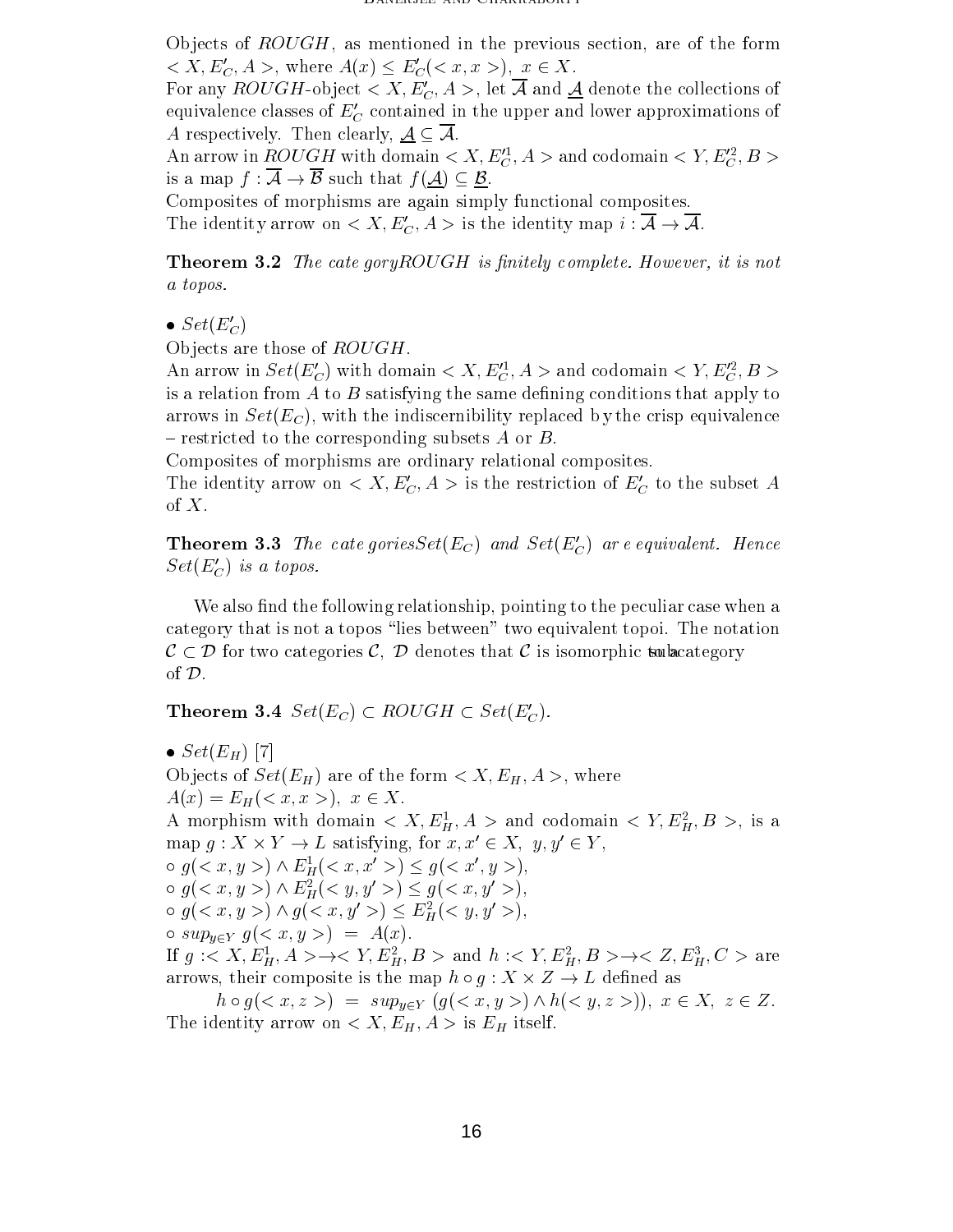Objects of  $ROUGH$ , as mentioned in the previous section, are of the form  $\langle X, E_C', A \rangle$ , where  $A(x) \leq E_C'(\langle x, x \rangle), x \in X$ .

For any ROUGH-object  $\langle X, E'_C, A \rangle$ , let  $\overline{A}$  and  $\underline{A}$  denote the collections of equivalence classes of  $E_C$  contained in the upper and lower approximations of A respectively. Then clearly,  $\underline{\mathcal{A}} \subseteq \mathcal{A}$ .

An arrow in  $ROU$  GH with domain  $\langle |A, E_{\tilde{C}}, A|\rangle$  and codomain  $\langle |I|, E_{\tilde{C}}, D|\rangle$ is a map  $f: \overline{A} \to \overline{B}$  such that  $f(\underline{A}) \subseteq \underline{B}$ .

Composites of morphisms are again simply functional composites. The identity arrow on  $\langle X, E'_C, A \rangle$  is the identity map  $i : \overline{A} \to \overline{A}$ .

**Theorem 3.2** The cate gory ROUGH is finitely complete. However, it is not a topos.

 $\bullet$  Set( $E_C'$ )

Objects are those of  $ROUGH$ .

An arrow in  $Set(E_C)$  with domain  $\leq A, E_C, A \geq$  and codomain  $\leq Y, E_C, D \geq$ is a relation from  $A$  to  $B$  satisfying the same defining conditions that apply to arrows in  $Set(E_C)$ , with the indiscernibility replaced by the crisp equivalence  $-$  restricted to the corresponding subsets A or B.

Composites of morphisms are ordinary relational composites.

The identity arrow on  $\langle X, E'_{C}, A \rangle$  is the restriction of  $E'_{C}$  to the subset A of X.

**Theorem 3.3** The cate gories  $Set(E_C)$  and  $Set(E_C')$  are equivalent. Hence  $Set(E_C')$  is a topos.

We also find the following relationship, pointing to the peculiar case when a category that is not a topos \lies between" two equivalent topoi. The notation  $\mathcal{C} \subset \mathcal{D}$  for two categories C,  $\mathcal{D}$  denotes that C is isomorphic to to be also extended of D.

**Theorem 3.4**  $Set(E_C) \subset ROUGH \subset Set(E_C')$ .

 $\bullet$  Set(E<sub>H</sub>) [7] Objects of  $Set(E_H)$  are of the form  $\langle X, E_H, A \rangle$ , where  $A(x) = E_H \, \langle \, x, x \, \rangle, \; x \in X.$ A morphism with domain  $\langle A, E_H^T, A \rangle$  and codomain  $\langle Y, E_H^T, D \rangle$ , is a map  $q: \Lambda \times Y \to L$  satisfying, for  $x, x \in \Lambda$ ,  $y, y \in Y$ ,  $g(x, y, y) \wedge E_H(x, x, z) \leq g(x, y, y),$  $g \circ g \left( \langle x, y \rangle > \right) \wedge E_H^{\bullet} \left( \langle y, y \rangle > \right) \leq g \left( \langle x, y \rangle > \right),$  $g(x, y, y) \wedge g(x, y, y) \leq E_H^{\mathsf{T}}(x, y, y, y)$  $\circ$  sup<sub>yEY</sub>  $g(*x, y*) = A(*x*).$ If  $g: \langle A, E_H, A \rangle \to \langle I, E_H, D \rangle$  and  $h: \langle I, E_H, D \rangle \to \langle Z, E_H, C \rangle$  are arrows, the map is the map of the map  $\mu$  . The map  $\mu$  is the map  $\mu$  -  $\mu$  -  $\mu$  -  $\mu$  -  $\mu$  -  $\mu$  -  $\mu$ 

 $h \circ g(*x*, *z*) = sup_{y \in Y} (g(*x*, *y*>) \wedge h(*y*, *z*>)), x \in X, z \in Z.$ The identity arrow on  $\langle X, E_H, A \rangle$  is  $E_H$  itself.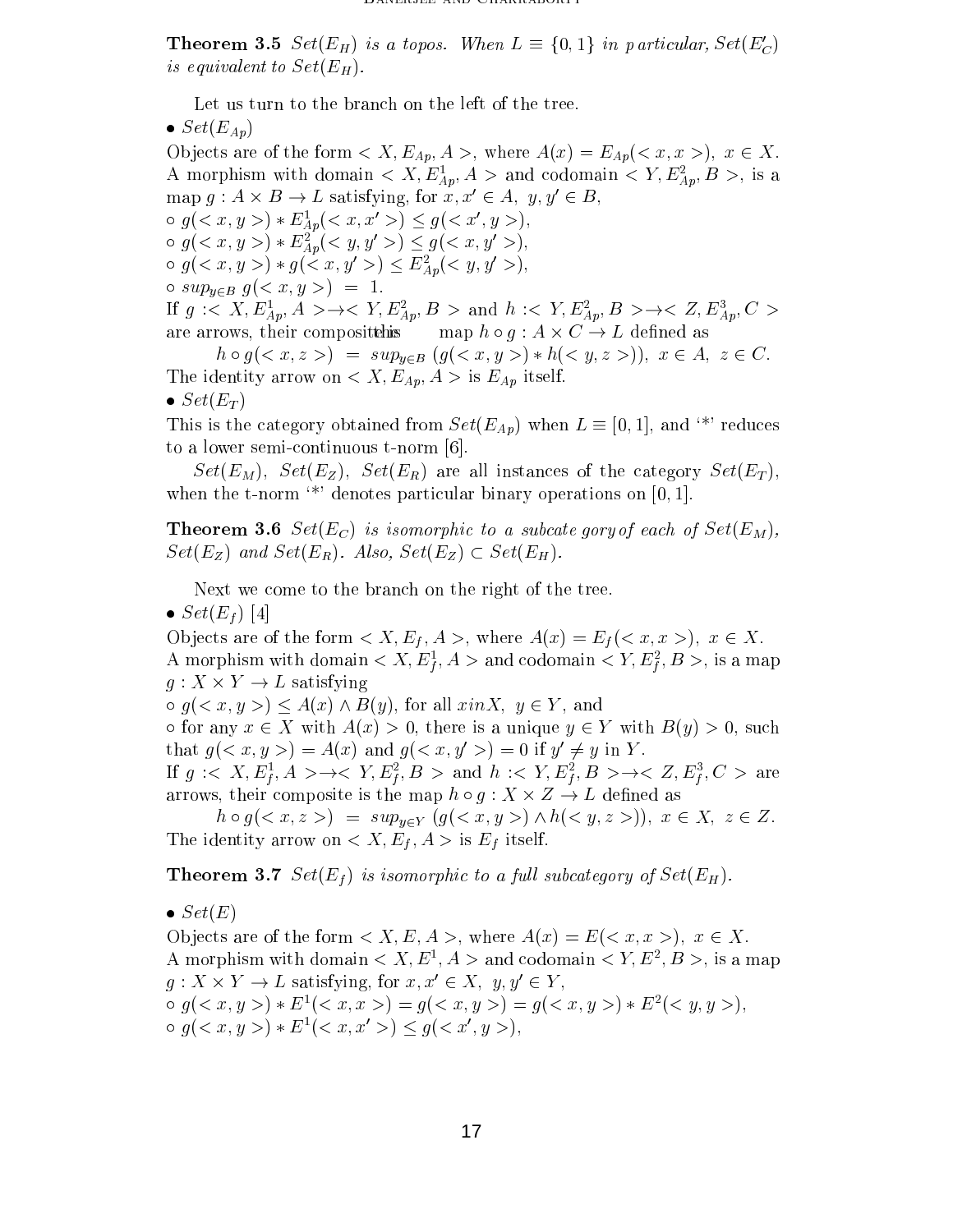**Theorem 3.5** Set( $E_H$ ) is a topos. When  $L \equiv \{0, 1\}$  in particular,  $Set(E_C)$ is equivalent to  $Set(E_H)$ .

Let us turn to the branch on the left of the tree.

 $\bullet$  Set( $E_{Ap}$ )

Objects are of the form  $\langle X, E_{Ap}, A \rangle$ , where  $A(x) = E_{Ap}(\langle x, x \rangle), x \in X$ . A morphism with domain  $\langle \; A, E_{Ap}, A \; \rangle$  and codomain  $\langle \; I, E_{Ap}, D \; \rangle$ , is a map  $q: A \times B \to L$  satisfying, for  $x, x \in A$ ,  $y, y \in B$ ,  $g(x, y, y) * E_{Ap}(x, x, z) \le g(x, y, y)$ ,  $g(x, y, z) * E_{Ap}(x, y, y, z) \le g(x, y, y, z),$  $g(x, y, y) * g(x, y, z) \leq E_{A_{p}}(x, y, y, z),$  $\circ$  sup<sub>y∈B</sub>  $g(*x, y*) = 1$ . If  $g: \langle A, E_{Ap}, A \rangle \to \langle I, E_{Ap}, D \rangle$  and  $h: \langle I, E_{Ap}, D \rangle \to \langle Z, E_{Ap}, C \rangle$ are arrows, their compositetheis map h <sup>g</sup> : <sup>A</sup> - C ! <sup>L</sup> dened as

 $\mathcal{N}$  , and  $\mathcal{N}$  , and  $\mathcal{N}$  are  $\mathcal{N}$  ,  $\mathcal{N}$  ,  $\mathcal{N}$  ,  $\mathcal{N}$  ,  $\mathcal{N}$  ,  $\mathcal{N}$  ,  $\mathcal{N}$  ,  $\mathcal{N}$  ,  $\mathcal{N}$  ,  $\mathcal{N}$  ,  $\mathcal{N}$  ,  $\mathcal{N}$  ,  $\mathcal{N}$  ,  $\mathcal{N}$  ,  $\mathcal{N}$  ,  $\mathcal{N}$  ,  $\$ The identity arrow on  $\langle X, E_{Ap}, A \rangle$  is  $E_{Ap}$  itself.  $\bullet$  Set(E<sub>T</sub>)

This is the category obtained from  $Set(E_{Ap})$  when  $L \equiv [0, 1]$ , and <sup>\*\*</sup>' reduces to a lower semi-continuous t-norm [6].

 $Set(E_M)$ ,  $Set(E_Z)$ ,  $Set(E_R)$  are all instances of the category  $Set(E_T)$ , when the t-norm  $\cdot^*$  denotes particular binary operations on [0, 1].

**Theorem 3.6** Set( $E_C$ ) is isomorphic to a subcate gory of each of  $Set(E_M)$ ,  $Set(E_Z)$  and  $Set(E_R)$ . Also,  $Set(E_Z) \subset Set(E_H)$ .

Next we come to the branch on the right of the tree.

 $\bullet$  Set(E<sub>f</sub>)[4]

Objects are of the form  $\langle X, E_f, A \rangle$ , where  $A(x) = E_f(\langle x, x \rangle), x \in X$ . A morphism with domain  $\le A, E_f, A \ge \text{and codomain} \le T, E_f, D \ge \text{, is a map}$ f<sub>i</sub> f<sub>i</sub>  $\alpha$  is a satisfying the same  $\alpha$  -  $\alpha$  -  $\alpha$  -  $\alpha$  -  $\alpha$  -  $\alpha$  -  $\alpha$  -  $\alpha$  -  $\alpha$  -  $\alpha$  -  $\alpha$  -  $\alpha$  -  $\alpha$  -  $\alpha$  -  $\alpha$  -  $\alpha$  -  $\alpha$  -  $\alpha$  -  $\alpha$  -  $\alpha$  -  $\alpha$  -  $\alpha$  -  $\alpha$  -  $\alpha$  -  $\alpha$  -  $\alpha$  -  $\alpha$  -  $\$ 

 $g(z, y, z) \leq A(x) \wedge B(y)$ , for all  $x \in Y$ , and

 $\circ$  for any  $x \in X$  with  $A(x) > 0$ , there is a unique  $y \in Y$  with  $B(y) > 0$ , such that  $q \in x, y \geq 0 \equiv A(x)$  and  $q \in x, y \geq 0 \equiv 0$  if  $y \neq y$  in  $Y$ .

If  $q \leq \Lambda, E_f, A \geq \rightarrow \leq Y, E_f, B \geq \text{and } n \leq Y, E_f, B \geq \rightarrow \leq Z, E_f, C \geq \text{are}$ for the contract of the contract of the contract of the contract of the contract of the contract of the contract of the contract of the contract of the contract of the contract of the contract of the contract of the contra for the contract of the contract of the contract of the contract of the contract of the contract of the contract of the contract of the contract of the contract of the contract of the contract of the contract of the contra for the contract of the contract of the contract of the contract of the contract of the contract of the contract of the contract of the contract of the contract of the contract of the contract of the contract of the contra for the contract of the contract of the contract of the contract of the contract of the contract of the contract of the contract of the contract of the contract of the contract of the contract of the contract of the contra arrows, the map h  $\mathbb{R}^n$  is the map h  $\mathbb{R}^n$  -composite is the map h  $\mathbb{R}^n$  -composite is the map h  $\mathbb{R}^n$ 

he distribution of the supplier  $\mathcal{A}$  is a support of  $\mathcal{A}$  in  $\mathcal{A}$  is  $\mathcal{A}$  . The support of  $\mathcal{A}$ The identity arrow on  $\langle X, E_f, A \rangle$  is  $E_f$  itself.

**Theorem 3.7** Set( $E_f$ ) is isomorphic to a full subcategory of  $Set(E_H)$ .

 $\bullet$  Set(E)

Objects are of the form  $\langle X, E, A \rangle$ , where  $A(x) = E(\langle x, x \rangle), x \in X$ . A morphism with domain  $\le A, E^+, A >$  and codomain  $\le T, E^-, D >$ , is a map  $g: \Lambda \times Y \to L$  satisfying, for  $x, x \in \Lambda$ ,  $y, y \in Y$ ,  $g(z, y, y) * E<sup>1</sup>(z, x, y) = g(z, y, y) = g(z, y, y) * E<sup>2</sup>(z, y, y)$  $g(*x*, *y*) * E<sup>1</sup>(*x*, *x*' >) \le g(*x*', *y* >),$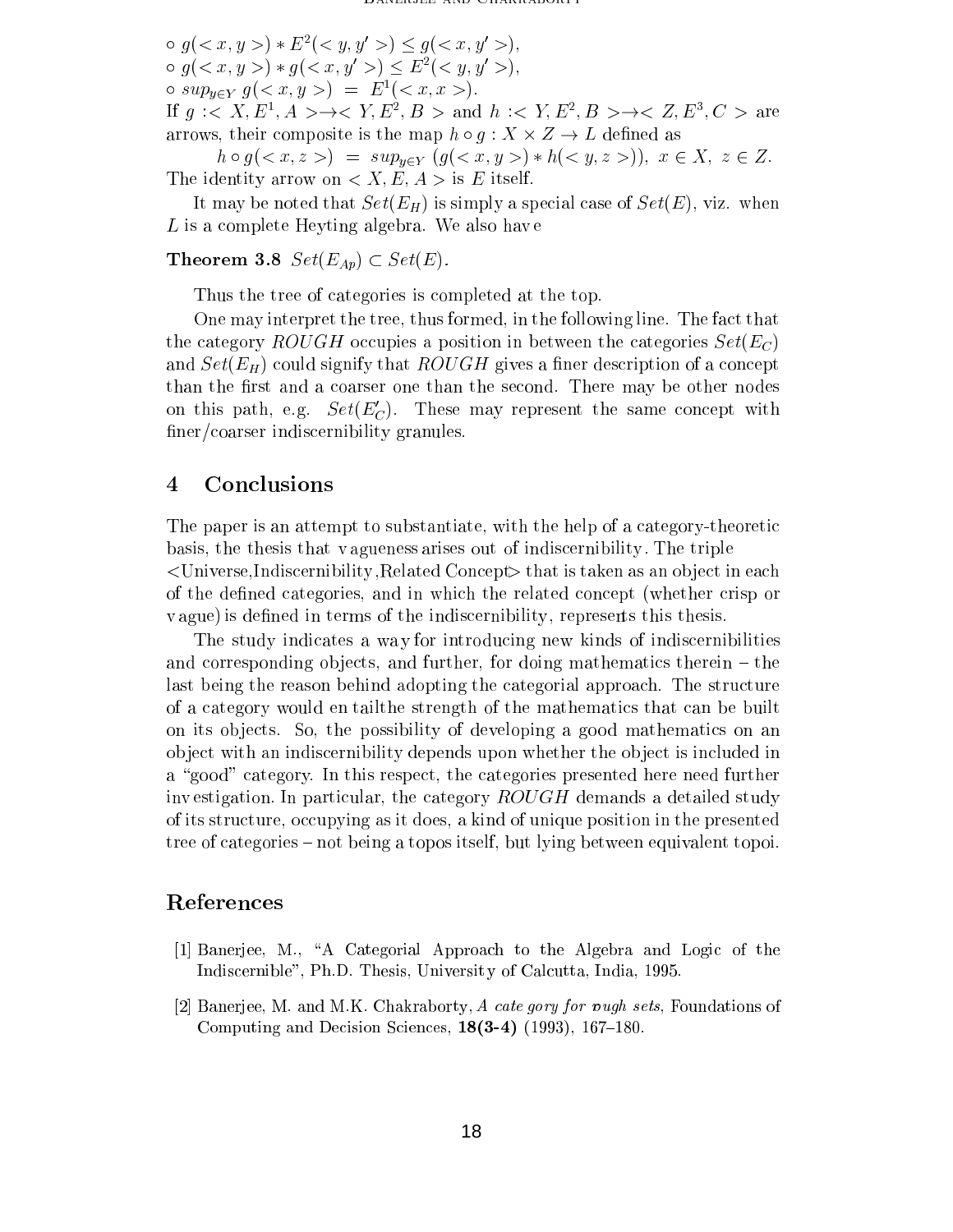$\circ$   $q \in \mathcal{X}, y >$   $\ast$   $E^{-} \in \mathcal{Y}, y >$   $\circ$   $q \in \mathcal{X}, y >$ ,  $g(z, y, y) * g(z, x, y') \le E^2(\langle y, y', z \rangle),$  $\circ$  sup<sub>yEY</sub>  $g(*x, y >*) = E<sup>1</sup>(*x, x >*).$ If  $q \leq A, E^*, A \geq \rightarrow \leq T, E^*, D \geq \text{and } n \leq T, E^*, D \geq \rightarrow \leq Z, E^*, C \geq \text{are}$ 

arrows, the map h grows, which we have provided as a second component of the map  $\alpha$ 

 $h \circ g(*x*, *z*) = sup_{\mathbf{y} \in Y} (g(*x*, *y*>) * h(*y*, *z*>)),  $x \in X$ ,  $z \in Z$ .$  $\mathbf{r}$  is identity and  $\mathbf{r}$  are  $\mathbf{r}$  is  $\mathbf{r}$  is  $\mathbf{r}$ .

It may be noted that Set  $S$  is  $\Gamma_H$  ) is simply at Set (E), viz.  $\Gamma_H$  when  $\Gamma_H$  $L$  is a complete Heyting algebra. We also have

# **Theorem 3.8**  $Set(E_{Ap}) \subset Set(E)$ .

Thus the tree of categories is completed at the top.

One may interpret the tree, thus formed, in the following line. The fact that  $\frac{1}{2}$  category rough occupies a position in between the categories  $\frac{1}{2}$ and  $\alpha$  and  $H$  ) could signify that ROUGH gives a concept of a concept  $H$  of a concept  $\mu$  . than the rst and <sup>a</sup> coarser one than the second. There may be other nodes on this path, e.g.  $Set(\mathcal{L}_C)$ . These may represent the same concept with ner-coarser indiscernibility granules. In the coarser in the coarse in the coarse of the coarse of the coarse o

# <sup>4</sup> Conclusions

The paper is an attempt to substantiate, with the help of <sup>a</sup> category-theoretic basis, the theoretic that  $\alpha$  are the thesis of individual . The triplet of individual  $\alpha$ <Universe,Indiscernibility ,Related Concept> that is taken asan ob ject in each of the dened categories, and in which the related concept (whether crisp or v ague) is dened in terms of the indiscernibility , represents this thesis.

The study indicates <sup>a</sup> wa <sup>y</sup> for introducing new kinds of indiscernibilities and corresponding ob jects, and further, for doing mathematics therein { the last being the reason behind adopting the categorial approach. The structure of a category would ent the strength of the mathematics that the mathematics that the mathematics that can be on its ob jects. So, the possibility of developing <sup>a</sup> good mathematics on an ob ject with an indiscernibility depends upon whether the ob ject is included in a this respective category. In this respective presented in the categories presented further in the categories inv estigation. In particular, the category ROUGH demands <sup>a</sup> detailed study of its structure, occupying as it does, <sup>a</sup> kind of unique position in the presented tree of categories { not being <sup>a</sup> topos itself, but lying between equivalent topoi.

# References

- [1] Banerjee, M., \A Categorial Approach to the Algebra and Logic of the Indiscernible", Ph.D. Thesis, Universit y of Calcutta, India, 1995.
- [2] Banerjee, M. and M.K. Chakraborty, A cate gory for wugh sets, Foundations of Computing and Decision Sciences,  $18(3-4)$  (1993), 167-180.